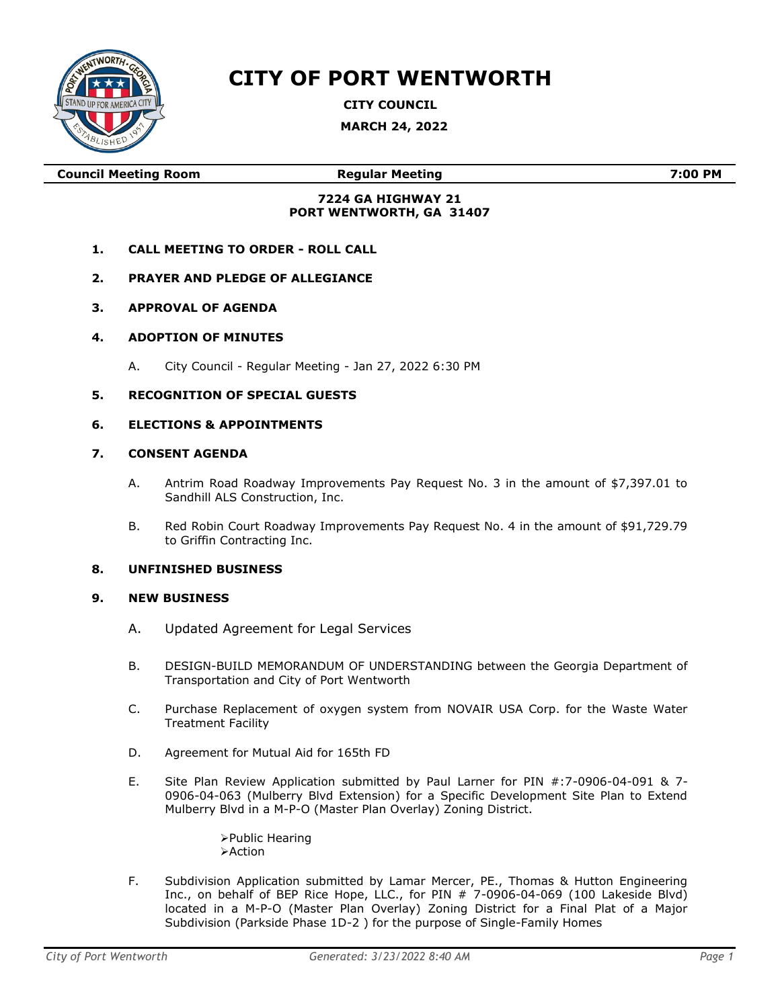

# **CITY OF PORT WENTWORTH**

**CITY COUNCIL**

**MARCH 24, 2022**

**Council Meeting Room Regular Meeting 7:00 PM**

# **7224 GA HIGHWAY 21 PORT WENTWORTH, GA 31407**

- **1. CALL MEETING TO ORDER - ROLL CALL**
- **2. PRAYER AND PLEDGE OF ALLEGIANCE**
- **3. APPROVAL OF AGENDA**
- **4. ADOPTION OF MINUTES**
	- A. City Council Regular Meeting Jan 27, 2022 6:30 PM

# **5. RECOGNITION OF SPECIAL GUESTS**

### **6. ELECTIONS & APPOINTMENTS**

#### **7. CONSENT AGENDA**

- A. Antrim Road Roadway Improvements Pay Request No. 3 in the amount of \$7,397.01 to Sandhill ALS Construction, Inc.
- B. Red Robin Court Roadway Improvements Pay Request No. 4 in the amount of \$91,729.79 to Griffin Contracting Inc.

#### **8. UNFINISHED BUSINESS**

#### **9. NEW BUSINESS**

- A. Updated Agreement for Legal Services
- B. DESIGN-BUILD MEMORANDUM OF UNDERSTANDING between the Georgia Department of Transportation and City of Port Wentworth
- C. Purchase Replacement of oxygen system from NOVAIR USA Corp. for the Waste Water Treatment Facility
- D. Agreement for Mutual Aid for 165th FD
- E. Site Plan Review Application submitted by Paul Larner for PIN #:7-0906-04-091 & 7- 0906-04-063 (Mulberry Blvd Extension) for a Specific Development Site Plan to Extend Mulberry Blvd in a M-P-O (Master Plan Overlay) Zoning District.

➢Public Hearing ➢Action

F. Subdivision Application submitted by Lamar Mercer, PE., Thomas & Hutton Engineering Inc., on behalf of BEP Rice Hope, LLC., for PIN # 7-0906-04-069 (100 Lakeside Blvd) located in a M-P-O (Master Plan Overlay) Zoning District for a Final Plat of a Major Subdivision (Parkside Phase 1D-2 ) for the purpose of Single-Family Homes